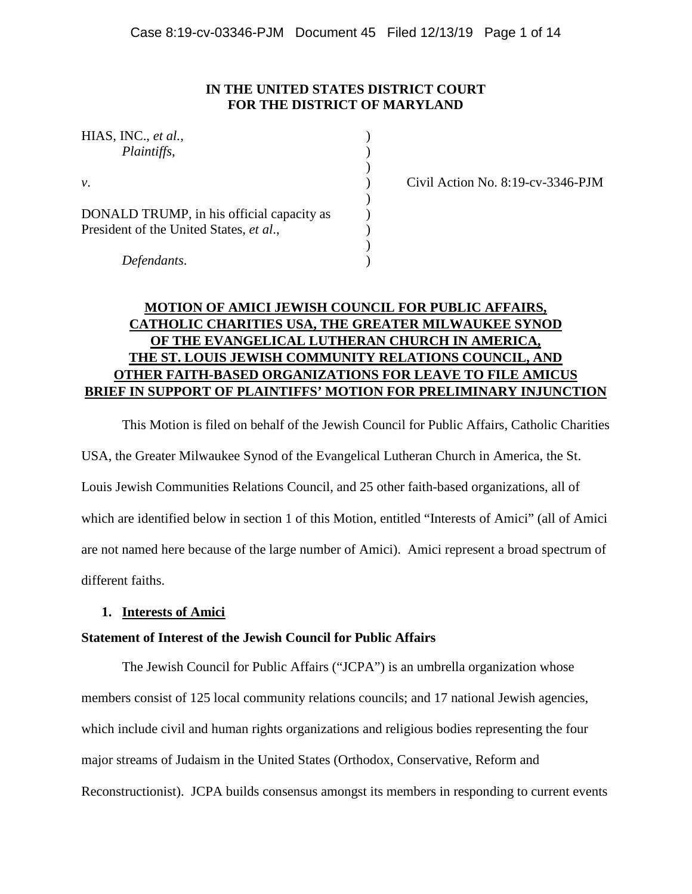# **IN THE UNITED STATES DISTRICT COURT FOR THE DISTRICT OF MARYLAND**

| HIAS, INC., et al.,<br>Plaintiffs,                                                   |  |
|--------------------------------------------------------------------------------------|--|
| ν.                                                                                   |  |
| DONALD TRUMP, in his official capacity as<br>President of the United States, et al., |  |
| Defendants.                                                                          |  |

*v*. ) Civil Action No. 8:19-cv-3346-PJM

# **MOTION OF AMICI JEWISH COUNCIL FOR PUBLIC AFFAIRS, CATHOLIC CHARITIES USA, THE GREATER MILWAUKEE SYNOD OF THE EVANGELICAL LUTHERAN CHURCH IN AMERICA, THE ST. LOUIS JEWISH COMMUNITY RELATIONS COUNCIL, AND OTHER FAITH-BASED ORGANIZATIONS FOR LEAVE TO FILE AMICUS BRIEF IN SUPPORT OF PLAINTIFFS' MOTION FOR PRELIMINARY INJUNCTION**

This Motion is filed on behalf of the Jewish Council for Public Affairs, Catholic Charities USA, the Greater Milwaukee Synod of the Evangelical Lutheran Church in America, the St. Louis Jewish Communities Relations Council, and 25 other faith-based organizations, all of which are identified below in section 1 of this Motion, entitled "Interests of Amici" (all of Amici are not named here because of the large number of Amici). Amici represent a broad spectrum of different faiths.

## **1. Interests of Amici**

# **Statement of Interest of the Jewish Council for Public Affairs**

The Jewish Council for Public Affairs ("JCPA") is an umbrella organization whose members consist of 125 local community relations councils; and 17 national Jewish agencies, which include civil and human rights organizations and religious bodies representing the four major streams of Judaism in the United States (Orthodox, Conservative, Reform and Reconstructionist). JCPA builds consensus amongst its members in responding to current events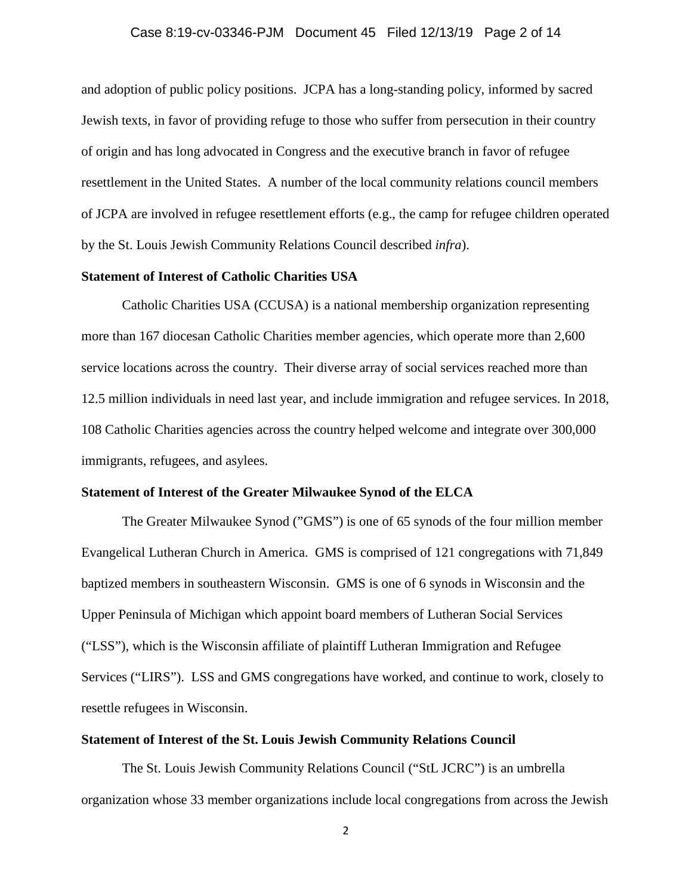#### Case 8:19-cv-03346-PJM Document 45 Filed 12/13/19 Page 2 of 14

and adoption of public policy positions. JCPA has a long-standing policy, informed by sacred Jewish texts, in favor of providing refuge to those who suffer from persecution in their country of origin and has long advocated in Congress and the executive branch in favor of refugee resettlement in the United States. A number of the local community relations council members of JCPA are involved in refugee resettlement efforts (e.g., the camp for refugee children operated by the St. Louis Jewish Community Relations Council described *infra*).

#### **Statement of Interest of Catholic Charities USA**

Catholic Charities USA (CCUSA) is a national membership organization representing more than 167 diocesan Catholic Charities member agencies, which operate more than 2,600 service locations across the country. Their diverse array of social services reached more than 12.5 million individuals in need last year, and include immigration and refugee services. In 2018, 108 Catholic Charities agencies across the country helped welcome and integrate over 300,000 immigrants, refugees, and asylees.

#### **Statement of Interest of the Greater Milwaukee Synod of the ELCA**

The Greater Milwaukee Synod ("GMS") is one of 65 synods of the four million member Evangelical Lutheran Church in America. GMS is comprised of 121 congregations with 71,849 baptized members in southeastern Wisconsin. GMS is one of 6 synods in Wisconsin and the Upper Peninsula of Michigan which appoint board members of Lutheran Social Services ("LSS"), which is the Wisconsin affiliate of plaintiff Lutheran Immigration and Refugee Services ("LIRS"). LSS and GMS congregations have worked, and continue to work, closely to resettle refugees in Wisconsin.

#### **Statement of Interest of the St. Louis Jewish Community Relations Council**

The St. Louis Jewish Community Relations Council ("StL JCRC") is an umbrella organization whose 33 member organizations include local congregations from across the Jewish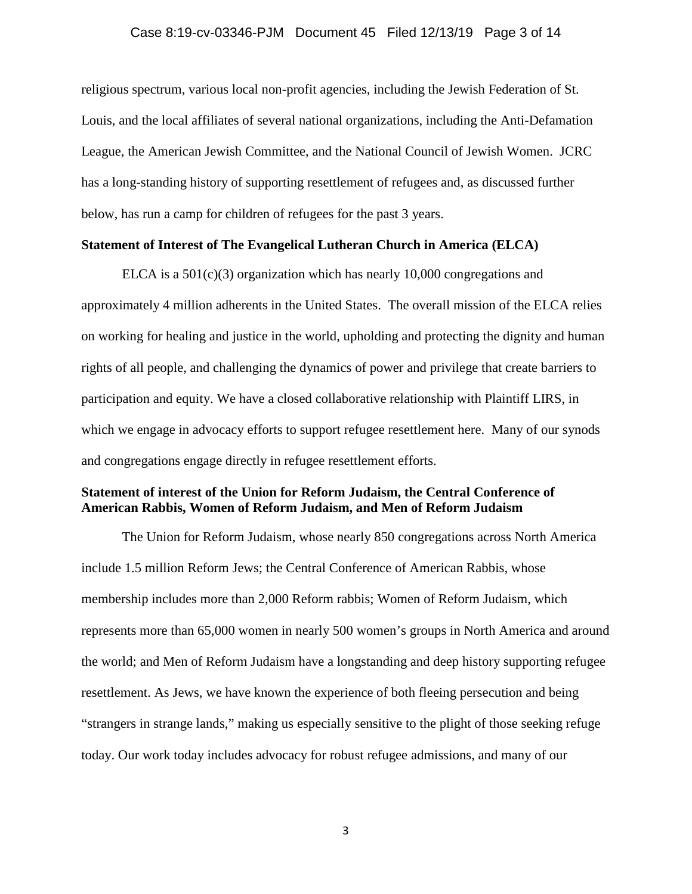#### Case 8:19-cv-03346-PJM Document 45 Filed 12/13/19 Page 3 of 14

religious spectrum, various local non-profit agencies, including the Jewish Federation of St. Louis, and the local affiliates of several national organizations, including the Anti-Defamation League, the American Jewish Committee, and the National Council of Jewish Women. JCRC has a long-standing history of supporting resettlement of refugees and, as discussed further below, has run a camp for children of refugees for the past 3 years.

#### **Statement of Interest of The Evangelical Lutheran Church in America (ELCA)**

ELCA is a  $501(c)(3)$  organization which has nearly 10,000 congregations and approximately 4 million adherents in the United States. The overall mission of the ELCA relies on working for healing and justice in the world, upholding and protecting the dignity and human rights of all people, and challenging the dynamics of power and privilege that create barriers to participation and equity. We have a closed collaborative relationship with Plaintiff LIRS, in which we engage in advocacy efforts to support refugee resettlement here. Many of our synods and congregations engage directly in refugee resettlement efforts.

## **Statement of interest of the Union for Reform Judaism, the Central Conference of American Rabbis, Women of Reform Judaism, and Men of Reform Judaism**

The Union for Reform Judaism, whose nearly 850 congregations across North America include 1.5 million Reform Jews; the Central Conference of American Rabbis, whose membership includes more than 2,000 Reform rabbis; Women of Reform Judaism, which represents more than 65,000 women in nearly 500 women's groups in North America and around the world; and Men of Reform Judaism have a longstanding and deep history supporting refugee resettlement. As Jews, we have known the experience of both fleeing persecution and being "strangers in strange lands," making us especially sensitive to the plight of those seeking refuge today. Our work today includes advocacy for robust refugee admissions, and many of our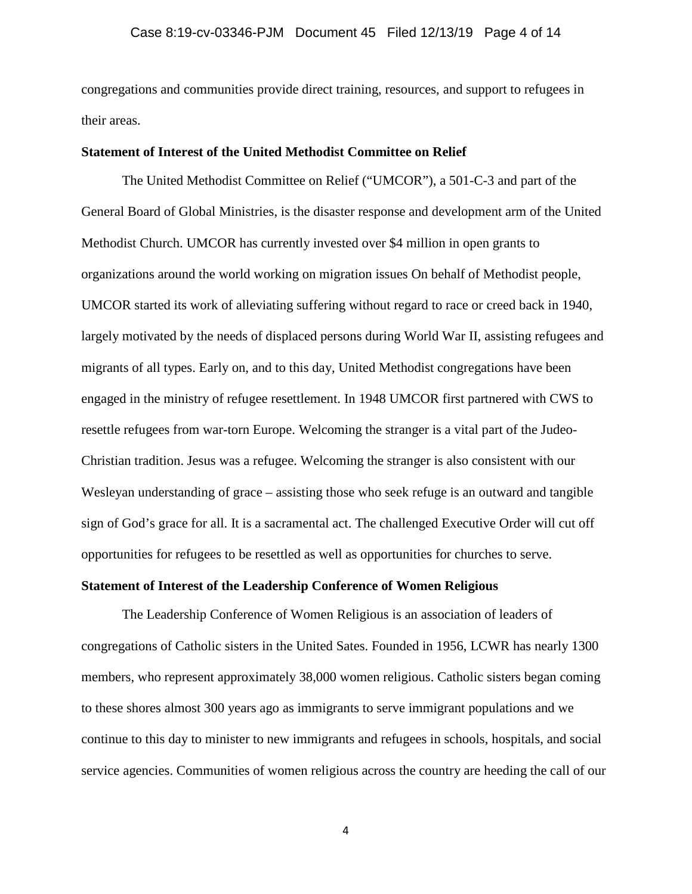congregations and communities provide direct training, resources, and support to refugees in their areas.

## **Statement of Interest of the United Methodist Committee on Relief**

The United Methodist Committee on Relief ("UMCOR"), a 501-C-3 and part of the General Board of Global Ministries, is the disaster response and development arm of the United Methodist Church. UMCOR has currently invested over \$4 million in open grants to organizations around the world working on migration issues On behalf of Methodist people, UMCOR started its work of alleviating suffering without regard to race or creed back in 1940, largely motivated by the needs of displaced persons during World War II, assisting refugees and migrants of all types. Early on, and to this day, United Methodist congregations have been engaged in the ministry of refugee resettlement. In 1948 UMCOR first partnered with CWS to resettle refugees from war-torn Europe. Welcoming the stranger is a vital part of the Judeo-Christian tradition. Jesus was a refugee. Welcoming the stranger is also consistent with our Wesleyan understanding of grace – assisting those who seek refuge is an outward and tangible sign of God's grace for all. It is a sacramental act. The challenged Executive Order will cut off opportunities for refugees to be resettled as well as opportunities for churches to serve.

# **Statement of Interest of the Leadership Conference of Women Religious**

The Leadership Conference of Women Religious is an association of leaders of congregations of Catholic sisters in the United Sates. Founded in 1956, LCWR has nearly 1300 members, who represent approximately 38,000 women religious. Catholic sisters began coming to these shores almost 300 years ago as immigrants to serve immigrant populations and we continue to this day to minister to new immigrants and refugees in schools, hospitals, and social service agencies. Communities of women religious across the country are heeding the call of our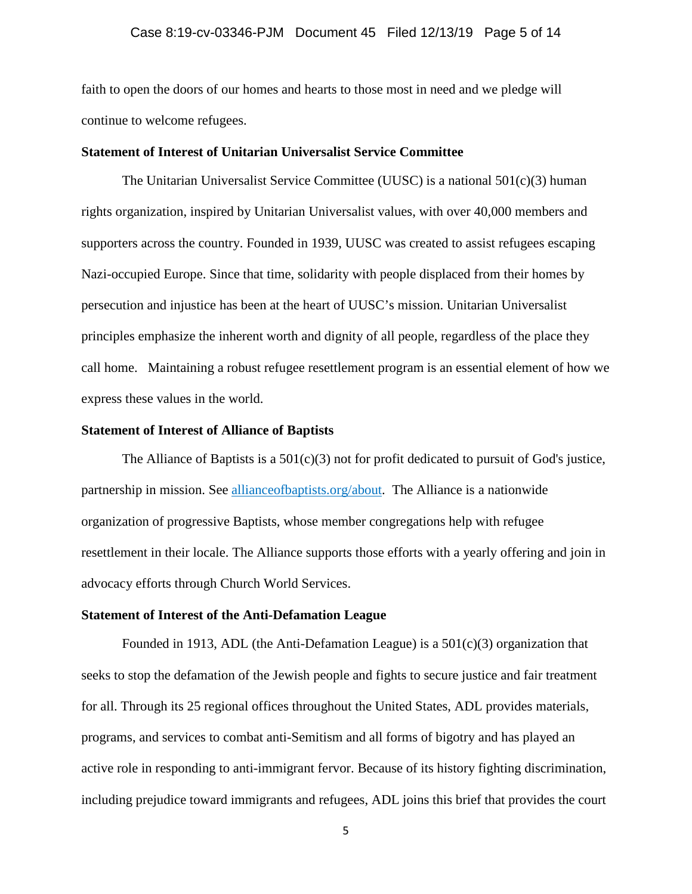## Case 8:19-cv-03346-PJM Document 45 Filed 12/13/19 Page 5 of 14

faith to open the doors of our homes and hearts to those most in need and we pledge will continue to welcome refugees.

### **Statement of Interest of Unitarian Universalist Service Committee**

The Unitarian Universalist Service Committee (UUSC) is a national  $501(c)(3)$  human rights organization, inspired by Unitarian Universalist values, with over 40,000 members and supporters across the country. Founded in 1939, UUSC was created to assist refugees escaping Nazi-occupied Europe. Since that time, solidarity with people displaced from their homes by persecution and injustice has been at the heart of UUSC's mission. Unitarian Universalist principles emphasize the inherent worth and dignity of all people, regardless of the place they call home. Maintaining a robust refugee resettlement program is an essential element of how we express these values in the world.

#### **Statement of Interest of Alliance of Baptists**

The Alliance of Baptists is a  $501(c)(3)$  not for profit dedicated to pursuit of God's justice, partnership in mission. See allianceofbaptists.org/about. The Alliance is a nationwide organization of progressive Baptists, whose member congregations help with refugee resettlement in their locale. The Alliance supports those efforts with a yearly offering and join in advocacy efforts through Church World Services.

# **Statement of Interest of the Anti-Defamation League**

Founded in 1913, ADL (the Anti-Defamation League) is a  $501(c)(3)$  organization that seeks to stop the defamation of the Jewish people and fights to secure justice and fair treatment for all. Through its 25 regional offices throughout the United States, ADL provides materials, programs, and services to combat anti-Semitism and all forms of bigotry and has played an active role in responding to anti-immigrant fervor. Because of its history fighting discrimination, including prejudice toward immigrants and refugees, ADL joins this brief that provides the court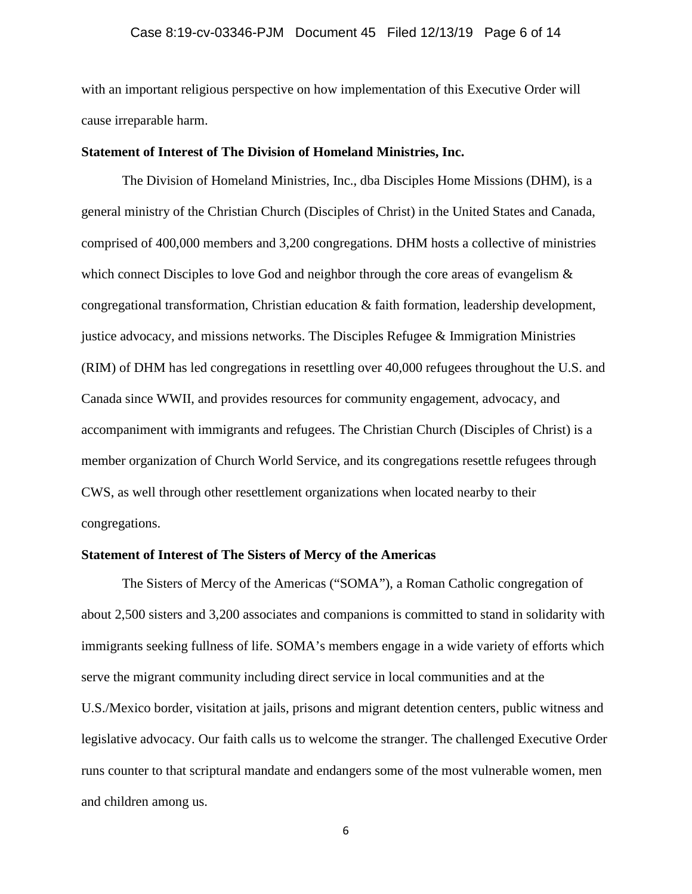#### Case 8:19-cv-03346-PJM Document 45 Filed 12/13/19 Page 6 of 14

with an important religious perspective on how implementation of this Executive Order will cause irreparable harm.

## **Statement of Interest of The Division of Homeland Ministries, Inc.**

The Division of Homeland Ministries, Inc., dba Disciples Home Missions (DHM), is a general ministry of the Christian Church (Disciples of Christ) in the United States and Canada, comprised of 400,000 members and 3,200 congregations. DHM hosts a collective of ministries which connect Disciples to love God and neighbor through the core areas of evangelism  $\&$ congregational transformation, Christian education & faith formation, leadership development, justice advocacy, and missions networks. The Disciples Refugee & Immigration Ministries (RIM) of DHM has led congregations in resettling over 40,000 refugees throughout the U.S. and Canada since WWII, and provides resources for community engagement, advocacy, and accompaniment with immigrants and refugees. The Christian Church (Disciples of Christ) is a member organization of Church World Service, and its congregations resettle refugees through CWS, as well through other resettlement organizations when located nearby to their congregations.

## **Statement of Interest of The Sisters of Mercy of the Americas**

The Sisters of Mercy of the Americas ("SOMA"), a Roman Catholic congregation of about 2,500 sisters and 3,200 associates and companions is committed to stand in solidarity with immigrants seeking fullness of life. SOMA's members engage in a wide variety of efforts which serve the migrant community including direct service in local communities and at the U.S./Mexico border, visitation at jails, prisons and migrant detention centers, public witness and legislative advocacy. Our faith calls us to welcome the stranger. The challenged Executive Order runs counter to that scriptural mandate and endangers some of the most vulnerable women, men and children among us.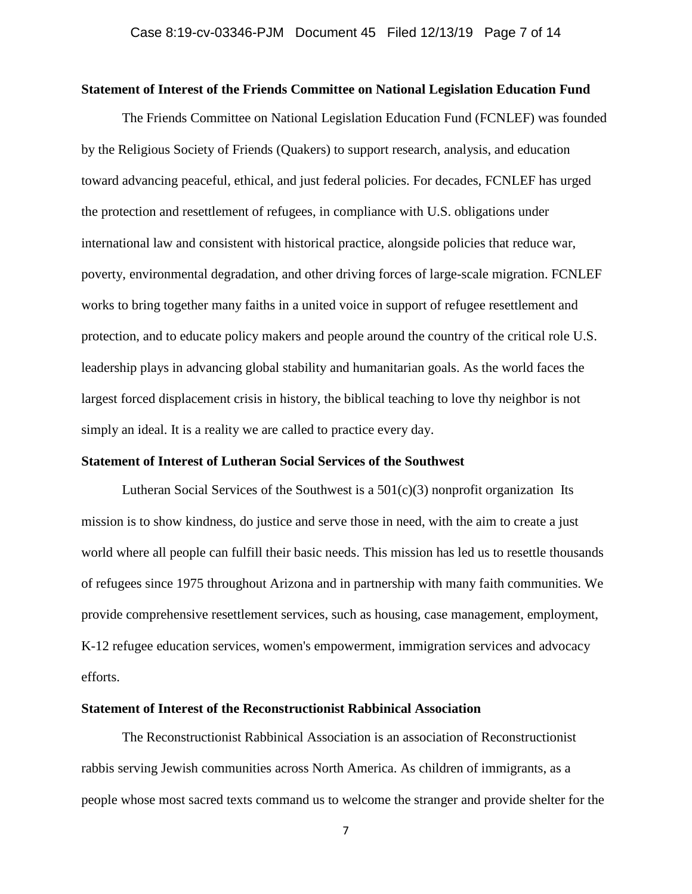#### **Statement of Interest of the Friends Committee on National Legislation Education Fund**

The Friends Committee on National Legislation Education Fund (FCNLEF) was founded by the Religious Society of Friends (Quakers) to support research, analysis, and education toward advancing peaceful, ethical, and just federal policies. For decades, FCNLEF has urged the protection and resettlement of refugees, in compliance with U.S. obligations under international law and consistent with historical practice, alongside policies that reduce war, poverty, environmental degradation, and other driving forces of large-scale migration. FCNLEF works to bring together many faiths in a united voice in support of refugee resettlement and protection, and to educate policy makers and people around the country of the critical role U.S. leadership plays in advancing global stability and humanitarian goals. As the world faces the largest forced displacement crisis in history, the biblical teaching to love thy neighbor is not simply an ideal. It is a reality we are called to practice every day.

## **Statement of Interest of Lutheran Social Services of the Southwest**

Lutheran Social Services of the Southwest is a  $501(c)(3)$  nonprofit organization Its mission is to show kindness, do justice and serve those in need, with the aim to create a just world where all people can fulfill their basic needs. This mission has led us to resettle thousands of refugees since 1975 throughout Arizona and in partnership with many faith communities. We provide comprehensive resettlement services, such as housing, case management, employment, K-12 refugee education services, women's empowerment, immigration services and advocacy efforts.

## **Statement of Interest of the Reconstructionist Rabbinical Association**

The Reconstructionist Rabbinical Association is an association of Reconstructionist rabbis serving Jewish communities across North America. As children of immigrants, as a people whose most sacred texts command us to welcome the stranger and provide shelter for the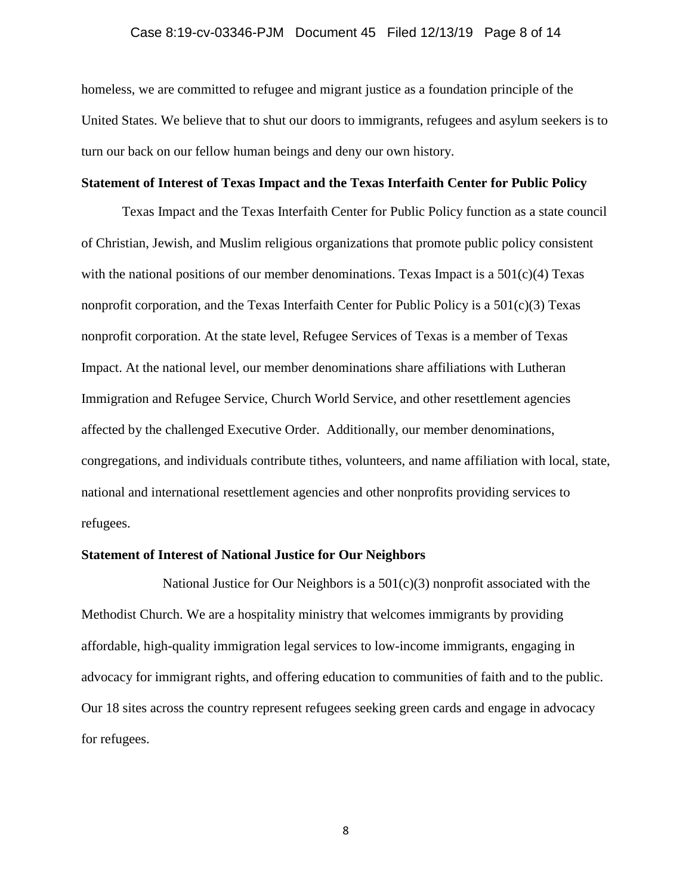## Case 8:19-cv-03346-PJM Document 45 Filed 12/13/19 Page 8 of 14

homeless, we are committed to refugee and migrant justice as a foundation principle of the United States. We believe that to shut our doors to immigrants, refugees and asylum seekers is to turn our back on our fellow human beings and deny our own history.

## **Statement of Interest of Texas Impact and the Texas Interfaith Center for Public Policy**

Texas Impact and the Texas Interfaith Center for Public Policy function as a state council of Christian, Jewish, and Muslim religious organizations that promote public policy consistent with the national positions of our member denominations. Texas Impact is a  $501(c)(4)$  Texas nonprofit corporation, and the Texas Interfaith Center for Public Policy is a  $501(c)(3)$  Texas nonprofit corporation. At the state level, Refugee Services of Texas is a member of Texas Impact. At the national level, our member denominations share affiliations with Lutheran Immigration and Refugee Service, Church World Service, and other resettlement agencies affected by the challenged Executive Order. Additionally, our member denominations, congregations, and individuals contribute tithes, volunteers, and name affiliation with local, state, national and international resettlement agencies and other nonprofits providing services to refugees.

## **Statement of Interest of National Justice for Our Neighbors**

National Justice for Our Neighbors is a  $501(c)(3)$  nonprofit associated with the Methodist Church. We are a hospitality ministry that welcomes immigrants by providing affordable, high-quality immigration legal services to low-income immigrants, engaging in advocacy for immigrant rights, and offering education to communities of faith and to the public. Our 18 sites across the country represent refugees seeking green cards and engage in advocacy for refugees.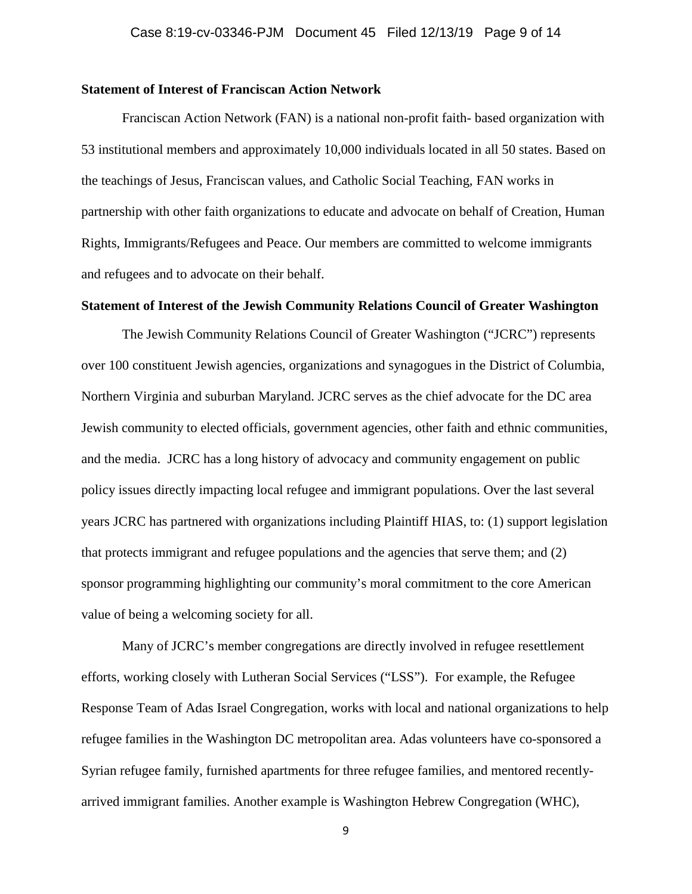#### **Statement of Interest of Franciscan Action Network**

Franciscan Action Network (FAN) is a national non-profit faith- based organization with 53 institutional members and approximately 10,000 individuals located in all 50 states. Based on the teachings of Jesus, Franciscan values, and Catholic Social Teaching, FAN works in partnership with other faith organizations to educate and advocate on behalf of Creation, Human Rights, Immigrants/Refugees and Peace. Our members are committed to welcome immigrants and refugees and to advocate on their behalf.

## **Statement of Interest of the Jewish Community Relations Council of Greater Washington**

The Jewish Community Relations Council of Greater Washington ("JCRC") represents over 100 constituent Jewish agencies, organizations and synagogues in the District of Columbia, Northern Virginia and suburban Maryland. JCRC serves as the chief advocate for the DC area Jewish community to elected officials, government agencies, other faith and ethnic communities, and the media. JCRC has a long history of advocacy and community engagement on public policy issues directly impacting local refugee and immigrant populations. Over the last several years JCRC has partnered with organizations including Plaintiff HIAS, to: (1) support legislation that protects immigrant and refugee populations and the agencies that serve them; and (2) sponsor programming highlighting our community's moral commitment to the core American value of being a welcoming society for all.

Many of JCRC's member congregations are directly involved in refugee resettlement efforts, working closely with Lutheran Social Services ("LSS"). For example, the Refugee Response Team of Adas Israel Congregation, works with local and national organizations to help refugee families in the Washington DC metropolitan area. Adas volunteers have co-sponsored a Syrian refugee family, furnished apartments for three refugee families, and mentored recentlyarrived immigrant families. Another example is Washington Hebrew Congregation (WHC),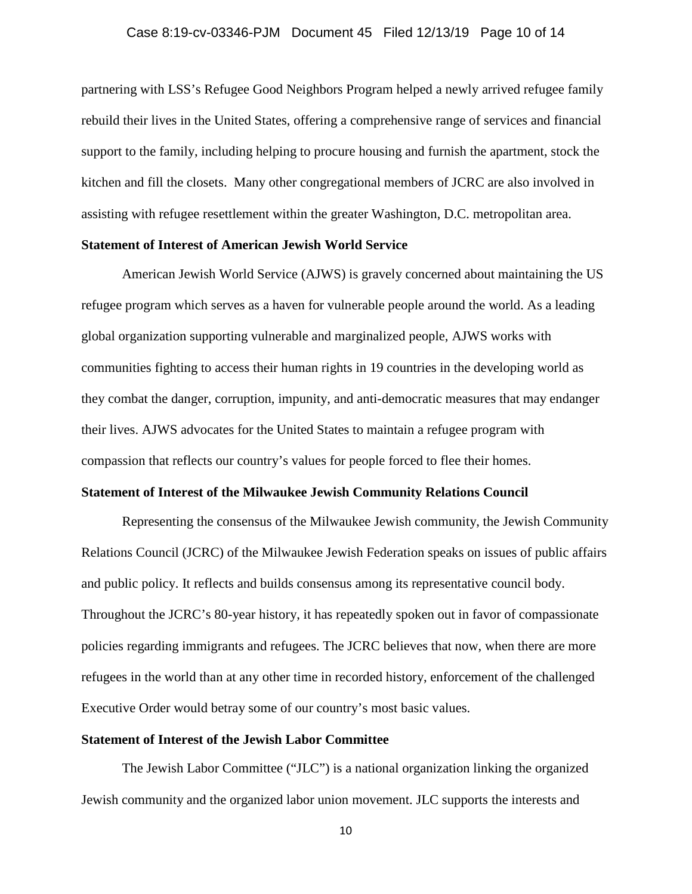## Case 8:19-cv-03346-PJM Document 45 Filed 12/13/19 Page 10 of 14

partnering with LSS's Refugee Good Neighbors Program helped a newly arrived refugee family rebuild their lives in the United States, offering a comprehensive range of services and financial support to the family, including helping to procure housing and furnish the apartment, stock the kitchen and fill the closets. Many other congregational members of JCRC are also involved in assisting with refugee resettlement within the greater Washington, D.C. metropolitan area.

## **Statement of Interest of American Jewish World Service**

American Jewish World Service (AJWS) is gravely concerned about maintaining the US refugee program which serves as a haven for vulnerable people around the world. As a leading global organization supporting vulnerable and marginalized people, AJWS works with communities fighting to access their human rights in 19 countries in the developing world as they combat the danger, corruption, impunity, and anti-democratic measures that may endanger their lives. AJWS advocates for the United States to maintain a refugee program with compassion that reflects our country's values for people forced to flee their homes.

#### **Statement of Interest of the Milwaukee Jewish Community Relations Council**

Representing the consensus of the Milwaukee Jewish community, the Jewish Community Relations Council (JCRC) of the Milwaukee Jewish Federation speaks on issues of public affairs and public policy. It reflects and builds consensus among its representative council body. Throughout the JCRC's 80-year history, it has repeatedly spoken out in favor of compassionate policies regarding immigrants and refugees. The JCRC believes that now, when there are more refugees in the world than at any other time in recorded history, enforcement of the challenged Executive Order would betray some of our country's most basic values.

# **Statement of Interest of the Jewish Labor Committee**

The Jewish Labor Committee ("JLC") is a national organization linking the organized Jewish community and the organized labor union movement. JLC supports the interests and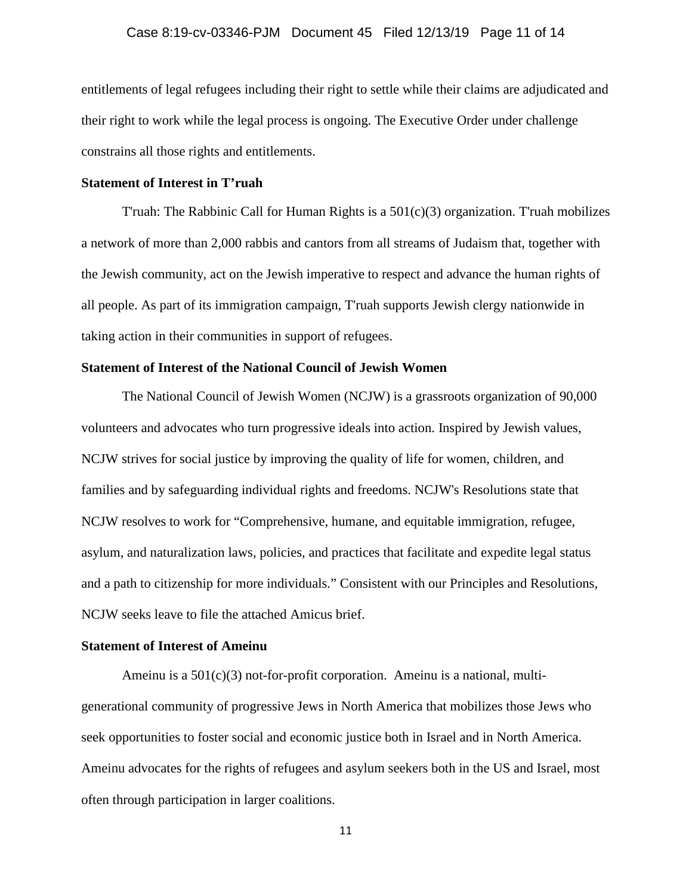## Case 8:19-cv-03346-PJM Document 45 Filed 12/13/19 Page 11 of 14

entitlements of legal refugees including their right to settle while their claims are adjudicated and their right to work while the legal process is ongoing. The Executive Order under challenge constrains all those rights and entitlements.

#### **Statement of Interest in T'ruah**

T'ruah: The Rabbinic Call for Human Rights is a  $501(c)(3)$  organization. T'ruah mobilizes a network of more than 2,000 rabbis and cantors from all streams of Judaism that, together with the Jewish community, act on the Jewish imperative to respect and advance the human rights of all people. As part of its immigration campaign, T'ruah supports Jewish clergy nationwide in taking action in their communities in support of refugees.

# **Statement of Interest of the National Council of Jewish Women**

The National Council of Jewish Women (NCJW) is a grassroots organization of 90,000 volunteers and advocates who turn progressive ideals into action. Inspired by Jewish values, NCJW strives for social justice by improving the quality of life for women, children, and families and by safeguarding individual rights and freedoms. NCJW's Resolutions state that NCJW resolves to work for "Comprehensive, humane, and equitable immigration, refugee, asylum, and naturalization laws, policies, and practices that facilitate and expedite legal status and a path to citizenship for more individuals." Consistent with our Principles and Resolutions, NCJW seeks leave to file the attached Amicus brief.

# **Statement of Interest of Ameinu**

Ameinu is a  $501(c)(3)$  not-for-profit corporation. Ameinu is a national, multigenerational community of progressive Jews in North America that mobilizes those Jews who seek opportunities to foster social and economic justice both in Israel and in North America. Ameinu advocates for the rights of refugees and asylum seekers both in the US and Israel, most often through participation in larger coalitions.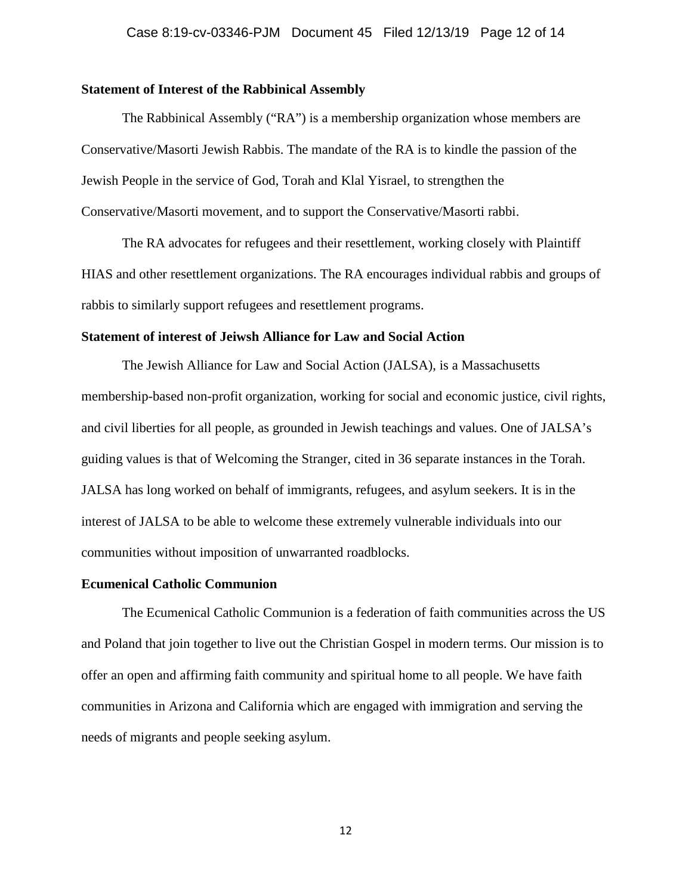#### **Statement of Interest of the Rabbinical Assembly**

The Rabbinical Assembly ("RA") is a membership organization whose members are Conservative/Masorti Jewish Rabbis. The mandate of the RA is to kindle the passion of the Jewish People in the service of God, Torah and Klal Yisrael, to strengthen the Conservative/Masorti movement, and to support the Conservative/Masorti rabbi.

The RA advocates for refugees and their resettlement, working closely with Plaintiff HIAS and other resettlement organizations. The RA encourages individual rabbis and groups of rabbis to similarly support refugees and resettlement programs.

## **Statement of interest of Jeiwsh Alliance for Law and Social Action**

The Jewish Alliance for Law and Social Action (JALSA), is a Massachusetts membership-based non-profit organization, working for social and economic justice, civil rights, and civil liberties for all people, as grounded in Jewish teachings and values. One of JALSA's guiding values is that of Welcoming the Stranger, cited in 36 separate instances in the Torah. JALSA has long worked on behalf of immigrants, refugees, and asylum seekers. It is in the interest of JALSA to be able to welcome these extremely vulnerable individuals into our communities without imposition of unwarranted roadblocks.

#### **Ecumenical Catholic Communion**

The Ecumenical Catholic Communion is a federation of faith communities across the US and Poland that join together to live out the Christian Gospel in modern terms. Our mission is to offer an open and affirming faith community and spiritual home to all people. We have faith communities in Arizona and California which are engaged with immigration and serving the needs of migrants and people seeking asylum.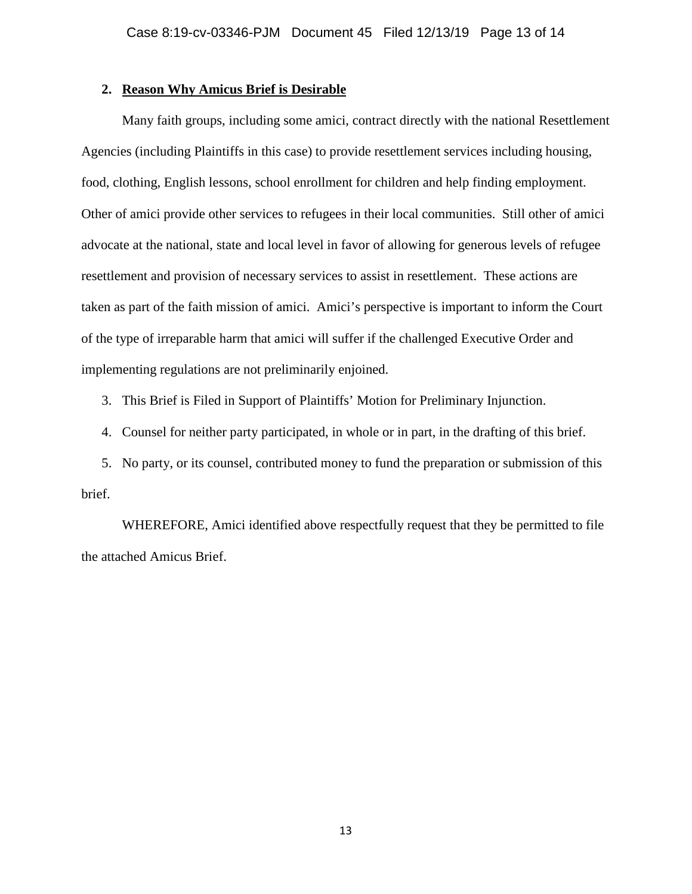# **2. Reason Why Amicus Brief is Desirable**

Many faith groups, including some amici, contract directly with the national Resettlement Agencies (including Plaintiffs in this case) to provide resettlement services including housing, food, clothing, English lessons, school enrollment for children and help finding employment. Other of amici provide other services to refugees in their local communities. Still other of amici advocate at the national, state and local level in favor of allowing for generous levels of refugee resettlement and provision of necessary services to assist in resettlement. These actions are taken as part of the faith mission of amici. Amici's perspective is important to inform the Court of the type of irreparable harm that amici will suffer if the challenged Executive Order and implementing regulations are not preliminarily enjoined.

3. This Brief is Filed in Support of Plaintiffs' Motion for Preliminary Injunction.

4. Counsel for neither party participated, in whole or in part, in the drafting of this brief.

5. No party, or its counsel, contributed money to fund the preparation or submission of this brief.

WHEREFORE, Amici identified above respectfully request that they be permitted to file the attached Amicus Brief.